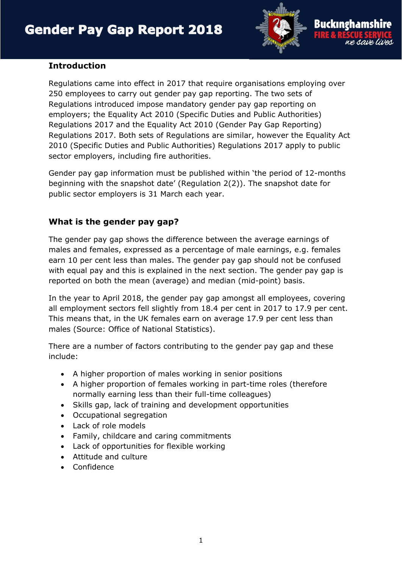

## **Introduction**

Regulations came into effect in 2017 that require organisations employing over 250 employees to carry out gender pay gap reporting. The two sets of Regulations introduced impose mandatory gender pay gap reporting on employers; the Equality Act 2010 (Specific Duties and Public Authorities) Regulations 2017 and the Equality Act 2010 (Gender Pay Gap Reporting) Regulations 2017. Both sets of Regulations are similar, however the Equality Act 2010 (Specific Duties and Public Authorities) Regulations 2017 apply to public sector employers, including fire authorities.

Gender pay gap information must be published within 'the period of 12-months beginning with the snapshot date' (Regulation 2(2)). The snapshot date for public sector employers is 31 March each year.

# **What is the gender pay gap?**

The gender pay gap shows the difference between the average earnings of males and females, expressed as a percentage of male earnings, e.g. females earn 10 per cent less than males. The gender pay gap should not be confused with equal pay and this is explained in the next section. The gender pay gap is reported on both the mean (average) and median (mid-point) basis.

In the year to April 2018, the gender pay gap amongst all employees, covering all employment sectors fell slightly from 18.4 per cent in 2017 to 17.9 per cent. This means that, in the UK females earn on average 17.9 per cent less than males (Source: Office of National Statistics).

There are a number of factors contributing to the gender pay gap and these include:

- A higher proportion of males working in senior positions
- A higher proportion of females working in part-time roles (therefore normally earning less than their full-time colleagues)
- Skills gap, lack of training and development opportunities
- Occupational segregation
- Lack of role models
- Family, childcare and caring commitments
- Lack of opportunities for flexible working
- Attitude and culture
- Confidence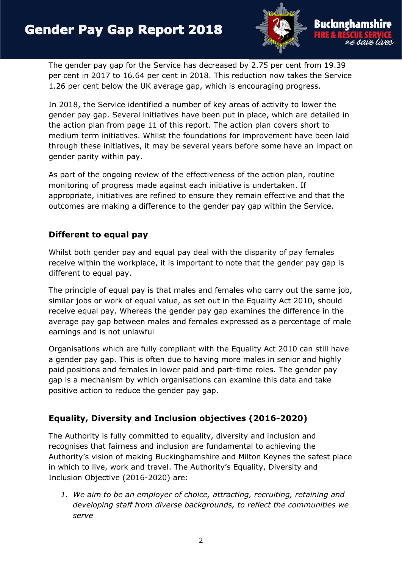

The gender pay gap for the Service has decreased by 2.75 per cent from 19.39 per cent in 2017 to 16.64 per cent in 2018. This reduction now takes the Service 1.26 per cent below the UK average gap, which is encouraging progress.

In 2018, the Service identified a number of key areas of activity to lower the gender pay gap. Several initiatives have been put in place, which are detailed in the action plan from page 11 of this report. The action plan covers short to medium term initiatives. Whilst the foundations for improvement have been laid through these initiatives, it may be several years before some have an impact on gender parity within pay.

As part of the ongoing review of the effectiveness of the action plan, routine monitoring of progress made against each initiative is undertaken. If appropriate, initiatives are refined to ensure they remain effective and that the outcomes are making a difference to the gender pay gap within the Service.

# **Different to equal pay**

Whilst both gender pay and equal pay deal with the disparity of pay females receive within the workplace, it is important to note that the gender pay gap is different to equal pay.

The principle of equal pay is that males and females who carry out the same job, similar jobs or work of equal value, as set out in the Equality Act 2010, should receive equal pay. Whereas the gender pay gap examines the difference in the average pay gap between males and females expressed as a percentage of male earnings and is not unlawful

Organisations which are fully compliant with the Equality Act 2010 can still have a gender pay gap. This is often due to having more males in senior and highly paid positions and females in lower paid and part-time roles. The gender pay gap is a mechanism by which organisations can examine this data and take positive action to reduce the gender pay gap.

# **Equality, Diversity and Inclusion objectives (2016-2020)**

The Authority is fully committed to equality, diversity and inclusion and recognises that fairness and inclusion are fundamental to achieving the Authority's vision of making Buckinghamshire and Milton Keynes the safest place in which to live, work and travel. The Authority's Equality, Diversity and Inclusion Objective (2016-2020) are:

*1. We aim to be an employer of choice, attracting, recruiting, retaining and developing staff from diverse backgrounds, to reflect the communities we serve*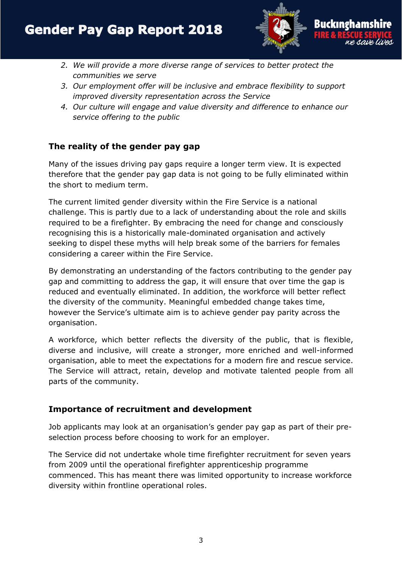

- *2. We will provide a more diverse range of services to better protect the communities we serve*
- *3. Our employment offer will be inclusive and embrace flexibility to support improved diversity representation across the Service*
- *4. Our culture will engage and value diversity and difference to enhance our service offering to the public*

## **The reality of the gender pay gap**

Many of the issues driving pay gaps require a longer term view. It is expected therefore that the gender pay gap data is not going to be fully eliminated within the short to medium term.

The current limited gender diversity within the Fire Service is a national challenge. This is partly due to a lack of understanding about the role and skills required to be a firefighter. By embracing the need for change and consciously recognising this is a historically male-dominated organisation and actively seeking to dispel these myths will help break some of the barriers for females considering a career within the Fire Service.

By demonstrating an understanding of the factors contributing to the gender pay gap and committing to address the gap, it will ensure that over time the gap is reduced and eventually eliminated. In addition, the workforce will better reflect the diversity of the community. Meaningful embedded change takes time, however the Service's ultimate aim is to achieve gender pay parity across the organisation.

A workforce, which better reflects the diversity of the public, that is flexible, diverse and inclusive, will create a stronger, more enriched and well-informed organisation, able to meet the expectations for a modern fire and rescue service. The Service will attract, retain, develop and motivate talented people from all parts of the community.

#### **Importance of recruitment and development**

Job applicants may look at an organisation's gender pay gap as part of their preselection process before choosing to work for an employer.

The Service did not undertake whole time firefighter recruitment for seven years from 2009 until the operational firefighter apprenticeship programme commenced. This has meant there was limited opportunity to increase workforce diversity within frontline operational roles.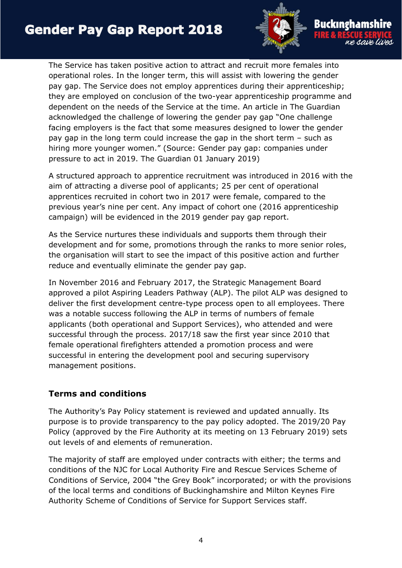

The Service has taken positive action to attract and recruit more females into operational roles. In the longer term, this will assist with lowering the gender pay gap. The Service does not employ apprentices during their apprenticeship; they are employed on conclusion of the two-year apprenticeship programme and dependent on the needs of the Service at the time. An article in The Guardian acknowledged the challenge of lowering the gender pay gap "One challenge facing employers is the fact that some measures designed to lower the gender pay gap in the long term could increase the gap in the short term – such as hiring more younger women." (Source: Gender pay gap: companies under pressure to act in 2019. The Guardian 01 January 2019)

A structured approach to apprentice recruitment was introduced in 2016 with the aim of attracting a diverse pool of applicants; 25 per cent of operational apprentices recruited in cohort two in 2017 were female, compared to the previous year's nine per cent. Any impact of cohort one (2016 apprenticeship campaign) will be evidenced in the 2019 gender pay gap report.

As the Service nurtures these individuals and supports them through their development and for some, promotions through the ranks to more senior roles, the organisation will start to see the impact of this positive action and further reduce and eventually eliminate the gender pay gap.

In November 2016 and February 2017, the Strategic Management Board approved a pilot Aspiring Leaders Pathway (ALP). The pilot ALP was designed to deliver the first development centre-type process open to all employees. There was a notable success following the ALP in terms of numbers of female applicants (both operational and Support Services), who attended and were successful through the process. 2017/18 saw the first year since 2010 that female operational firefighters attended a promotion process and were successful in entering the development pool and securing supervisory management positions.

#### **Terms and conditions**

The Authority's Pay Policy statement is reviewed and updated annually. Its purpose is to provide transparency to the pay policy adopted. The 2019/20 Pay Policy (approved by the Fire Authority at its meeting on 13 February 2019) sets out levels of and elements of remuneration.

The majority of staff are employed under contracts with either; the terms and conditions of the NJC for Local Authority Fire and Rescue Services Scheme of Conditions of Service, 2004 "the Grey Book" incorporated; or with the provisions of the local terms and conditions of Buckinghamshire and Milton Keynes Fire Authority Scheme of Conditions of Service for Support Services staff.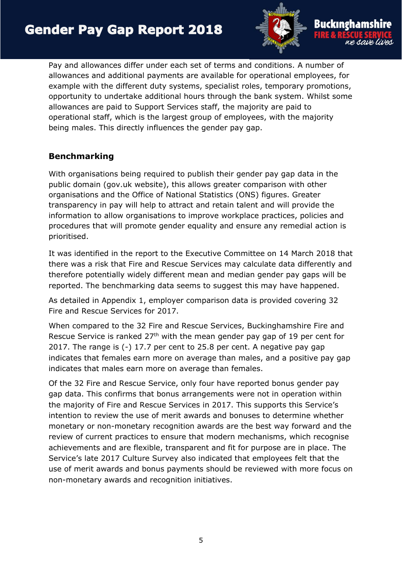

Pay and allowances differ under each set of terms and conditions. A number of allowances and additional payments are available for operational employees, for example with the different duty systems, specialist roles, temporary promotions, opportunity to undertake additional hours through the bank system. Whilst some allowances are paid to Support Services staff, the majority are paid to operational staff, which is the largest group of employees, with the majority being males. This directly influences the gender pay gap.

## **Benchmarking**

With organisations being required to publish their gender pay gap data in the public domain (gov.uk website), this allows greater comparison with other organisations and the Office of National Statistics (ONS) figures. Greater transparency in pay will help to attract and retain talent and will provide the information to allow organisations to improve workplace practices, policies and procedures that will promote gender equality and ensure any remedial action is prioritised.

It was identified in the report to the Executive Committee on 14 March 2018 that there was a risk that Fire and Rescue Services may calculate data differently and therefore potentially widely different mean and median gender pay gaps will be reported. The benchmarking data seems to suggest this may have happened.

As detailed in Appendix 1, employer comparison data is provided covering 32 Fire and Rescue Services for 2017.

When compared to the 32 Fire and Rescue Services, Buckinghamshire Fire and Rescue Service is ranked 27<sup>th</sup> with the mean gender pay gap of 19 per cent for 2017. The range is (-) 17.7 per cent to 25.8 per cent. A negative pay gap indicates that females earn more on average than males, and a positive pay gap indicates that males earn more on average than females.

Of the 32 Fire and Rescue Service, only four have reported bonus gender pay gap data. This confirms that bonus arrangements were not in operation within the majority of Fire and Rescue Services in 2017. This supports this Service's intention to review the use of merit awards and bonuses to determine whether monetary or non-monetary recognition awards are the best way forward and the review of current practices to ensure that modern mechanisms, which recognise achievements and are flexible, transparent and fit for purpose are in place. The Service's late 2017 Culture Survey also indicated that employees felt that the use of merit awards and bonus payments should be reviewed with more focus on non-monetary awards and recognition initiatives.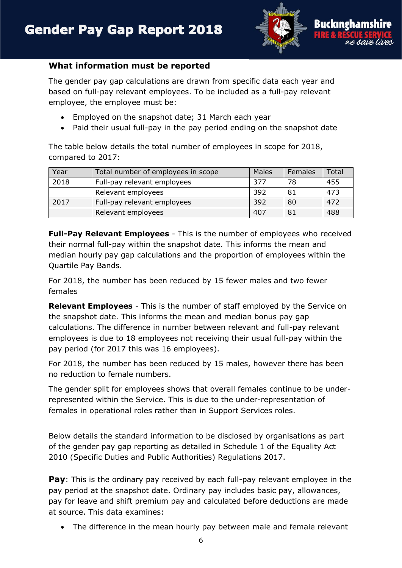

#### **What information must be reported**

The gender pay gap calculations are drawn from specific data each year and based on full-pay relevant employees. To be included as a full-pay relevant employee, the employee must be:

- Employed on the snapshot date; 31 March each year
- Paid their usual full-pay in the pay period ending on the snapshot date

The table below details the total number of employees in scope for 2018, compared to 2017:

| Year | Total number of employees in scope | Males | Females | Total |
|------|------------------------------------|-------|---------|-------|
| 2018 | Full-pay relevant employees        | 377   | 78      | 455   |
|      | Relevant employees                 | 392   | 81      | 473   |
| 2017 | Full-pay relevant employees        | 392   | 80      | 472   |
|      | Relevant employees                 | 407   | 81      | 488   |

**Full-Pay Relevant Employees** - This is the number of employees who received their normal full-pay within the snapshot date. This informs the mean and median hourly pay gap calculations and the proportion of employees within the Quartile Pay Bands.

For 2018, the number has been reduced by 15 fewer males and two fewer females

**Relevant Employees** - This is the number of staff employed by the Service on the snapshot date. This informs the mean and median bonus pay gap calculations. The difference in number between relevant and full-pay relevant employees is due to 18 employees not receiving their usual full-pay within the pay period (for 2017 this was 16 employees).

For 2018, the number has been reduced by 15 males, however there has been no reduction to female numbers.

The gender split for employees shows that overall females continue to be underrepresented within the Service. This is due to the under-representation of females in operational roles rather than in Support Services roles.

Below details the standard information to be disclosed by organisations as part of the gender pay gap reporting as detailed in Schedule 1 of the Equality Act 2010 (Specific Duties and Public Authorities) Regulations 2017.

**Pay**: This is the ordinary pay received by each full-pay relevant employee in the pay period at the snapshot date. Ordinary pay includes basic pay, allowances, pay for leave and shift premium pay and calculated before deductions are made at source. This data examines:

The difference in the mean hourly pay between male and female relevant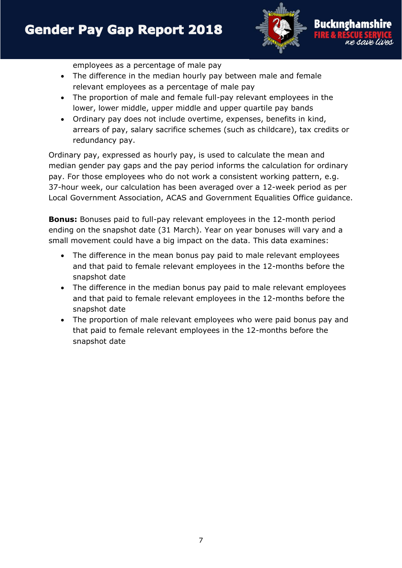

employees as a percentage of male pay

- The difference in the median hourly pay between male and female relevant employees as a percentage of male pay
- The proportion of male and female full-pay relevant employees in the lower, lower middle, upper middle and upper quartile pay bands
- Ordinary pay does not include overtime, expenses, benefits in kind, arrears of pay, salary sacrifice schemes (such as childcare), tax credits or redundancy pay.

Ordinary pay, expressed as hourly pay, is used to calculate the mean and median gender pay gaps and the pay period informs the calculation for ordinary pay. For those employees who do not work a consistent working pattern, e.g. 37-hour week, our calculation has been averaged over a 12-week period as per Local Government Association, ACAS and Government Equalities Office guidance.

**Bonus:** Bonuses paid to full-pay relevant employees in the 12-month period ending on the snapshot date (31 March). Year on year bonuses will vary and a small movement could have a big impact on the data. This data examines:

- The difference in the mean bonus pay paid to male relevant employees and that paid to female relevant employees in the 12-months before the snapshot date
- The difference in the median bonus pay paid to male relevant employees and that paid to female relevant employees in the 12-months before the snapshot date
- The proportion of male relevant employees who were paid bonus pay and that paid to female relevant employees in the 12-months before the snapshot date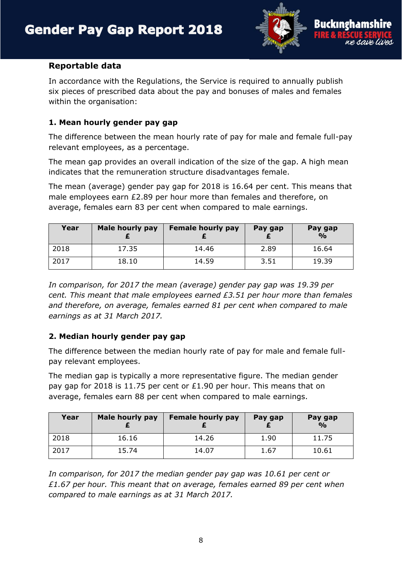

#### **Reportable data**

In accordance with the Regulations, the Service is required to annually publish six pieces of prescribed data about the pay and bonuses of males and females within the organisation:

## **1. Mean hourly gender pay gap**

The difference between the mean hourly rate of pay for male and female full-pay relevant employees, as a percentage.

The mean gap provides an overall indication of the size of the gap. A high mean indicates that the remuneration structure disadvantages female.

The mean (average) gender pay gap for 2018 is 16.64 per cent. This means that male employees earn £2.89 per hour more than females and therefore, on average, females earn 83 per cent when compared to male earnings.

| Year | Male hourly pay | <b>Female hourly pay</b> | Pay gap | Pay gap<br>$\frac{O}{O}$ |
|------|-----------------|--------------------------|---------|--------------------------|
| 2018 | 17.35           | 14.46                    | 2.89    | 16.64                    |
| 2017 | 18.10           | 14.59                    | 3.51    | 19.39                    |

*In comparison, for 2017 the mean (average) gender pay gap was 19.39 per cent. This meant that male employees earned £3.51 per hour more than females and therefore, on average, females earned 81 per cent when compared to male earnings as at 31 March 2017.*

#### **2. Median hourly gender pay gap**

The difference between the median hourly rate of pay for male and female fullpay relevant employees.

The median gap is typically a more representative figure. The median gender pay gap for 2018 is 11.75 per cent or £1.90 per hour. This means that on average, females earn 88 per cent when compared to male earnings.

| Year | Male hourly pay | <b>Female hourly pay</b> | Pay gap | Pay gap<br>$\frac{1}{2}$ |
|------|-----------------|--------------------------|---------|--------------------------|
| 2018 | 16.16           | 14.26                    | 1.90    | 11.75                    |
| 2017 | 15.74           | 14.07                    | 1.67    | 10.61                    |

*In comparison, for 2017 the median gender pay gap was 10.61 per cent or £1.67 per hour. This meant that on average, females earned 89 per cent when compared to male earnings as at 31 March 2017.*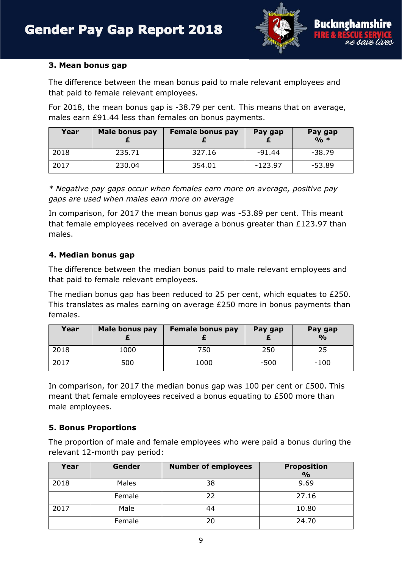

#### **3. Mean bonus gap**

The difference between the mean bonus paid to male relevant employees and that paid to female relevant employees.

For 2018, the mean bonus gap is -38.79 per cent. This means that on average, males earn £91.44 less than females on bonus payments.

| Year | Male bonus pay | <b>Female bonus pay</b> | Pay gap   | Pay gap<br>$0/0$ * |
|------|----------------|-------------------------|-----------|--------------------|
| 2018 | 235.71         | 327.16                  | $-91.44$  | $-38.79$           |
| 2017 | 230.04         | 354.01                  | $-123.97$ | $-53.89$           |

*\* Negative pay gaps occur when females earn more on average, positive pay gaps are used when males earn more on average*

In comparison, for 2017 the mean bonus gap was -53.89 per cent. This meant that female employees received on average a bonus greater than £123.97 than males.

#### **4. Median bonus gap**

The difference between the median bonus paid to male relevant employees and that paid to female relevant employees.

The median bonus gap has been reduced to 25 per cent, which equates to £250. This translates as males earning on average £250 more in bonus payments than females.

| Year | Male bonus pay | <b>Female bonus pay</b> | Pay gap | Pay gap<br>$\frac{6}{6}$ |
|------|----------------|-------------------------|---------|--------------------------|
| 2018 | 1000           | 750                     | 250     | 25                       |
| 2017 | 500            | 1000                    | $-500$  | $-100$                   |

In comparison, for 2017 the median bonus gap was 100 per cent or £500. This meant that female employees received a bonus equating to £500 more than male employees.

#### **5. Bonus Proportions**

The proportion of male and female employees who were paid a bonus during the relevant 12-month pay period:

| Year | Gender | <b>Number of employees</b> | <b>Proposition</b><br>$\frac{6}{6}$ |
|------|--------|----------------------------|-------------------------------------|
| 2018 | Males  | 38                         | 9.69                                |
|      | Female | 22                         | 27.16                               |
| 2017 | Male   |                            | 10.80                               |
|      | Female | 20                         | 24.70                               |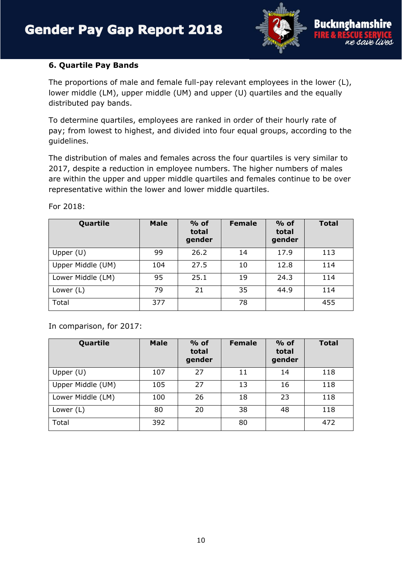

#### **6. Quartile Pay Bands**

The proportions of male and female full-pay relevant employees in the lower (L), lower middle (LM), upper middle (UM) and upper (U) quartiles and the equally distributed pay bands.

To determine quartiles, employees are ranked in order of their hourly rate of pay; from lowest to highest, and divided into four equal groups, according to the guidelines.

The distribution of males and females across the four quartiles is very similar to 2017, despite a reduction in employee numbers. The higher numbers of males are within the upper and upper middle quartiles and females continue to be over representative within the lower and lower middle quartiles.

| Quartile          | <b>Male</b> | $%$ of<br>total<br>gender | <b>Female</b> | $%$ of<br>total<br>gender | <b>Total</b> |
|-------------------|-------------|---------------------------|---------------|---------------------------|--------------|
| Upper $(U)$       | 99          | 26.2                      | 14            | 17.9                      | 113          |
| Upper Middle (UM) | 104         | 27.5                      | 10            | 12.8                      | 114          |
| Lower Middle (LM) | 95          | 25.1                      | 19            | 24.3                      | 114          |
| Lower $(L)$       | 79          | 21                        | 35            | 44.9                      | 114          |
| Total             | 377         |                           | 78            |                           | 455          |

For 2018:

In comparison, for 2017:

| Quartile          | <b>Male</b> | $%$ of<br>total<br>gender | <b>Female</b> | $%$ of<br>total<br>gender | <b>Total</b> |
|-------------------|-------------|---------------------------|---------------|---------------------------|--------------|
| Upper $(U)$       | 107         | 27                        | 11            | 14                        | 118          |
| Upper Middle (UM) | 105         | 27                        | 13            | 16                        | 118          |
| Lower Middle (LM) | 100         | 26                        | 18            | 23                        | 118          |
| Lower (L)         | 80          | 20                        | 38            | 48                        | 118          |
| Total             | 392         |                           | 80            |                           | 472          |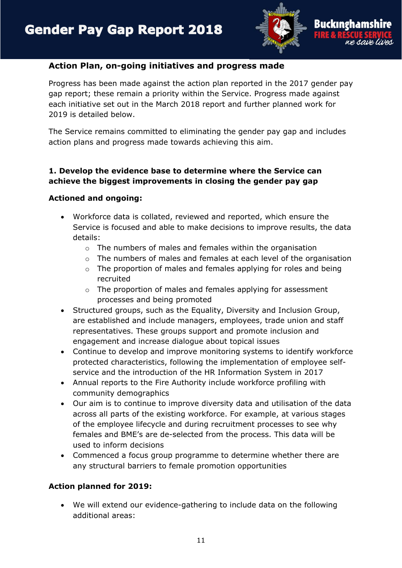

## **Action Plan, on-going initiatives and progress made**

Progress has been made against the action plan reported in the 2017 gender pay gap report; these remain a priority within the Service. Progress made against each initiative set out in the March 2018 report and further planned work for 2019 is detailed below.

The Service remains committed to eliminating the gender pay gap and includes action plans and progress made towards achieving this aim.

## **1. Develop the evidence base to determine where the Service can achieve the biggest improvements in closing the gender pay gap**

#### **Actioned and ongoing:**

- Workforce data is collated, reviewed and reported, which ensure the Service is focused and able to make decisions to improve results, the data details:
	- o The numbers of males and females within the organisation
	- o The numbers of males and females at each level of the organisation
	- o The proportion of males and females applying for roles and being recruited
	- o The proportion of males and females applying for assessment processes and being promoted
- Structured groups, such as the Equality, Diversity and Inclusion Group, are established and include managers, employees, trade union and staff representatives. These groups support and promote inclusion and engagement and increase dialogue about topical issues
- Continue to develop and improve monitoring systems to identify workforce protected characteristics, following the implementation of employee selfservice and the introduction of the HR Information System in 2017
- Annual reports to the Fire Authority include workforce profiling with community demographics
- Our aim is to continue to improve diversity data and utilisation of the data across all parts of the existing workforce. For example, at various stages of the employee lifecycle and during recruitment processes to see why females and BME's are de-selected from the process. This data will be used to inform decisions
- Commenced a focus group programme to determine whether there are any structural barriers to female promotion opportunities

#### **Action planned for 2019:**

 We will extend our evidence-gathering to include data on the following additional areas: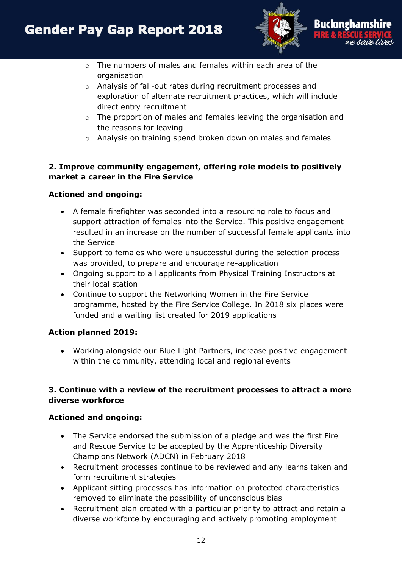

- $\circ$  The numbers of males and females within each area of the organisation
- o Analysis of fall-out rates during recruitment processes and exploration of alternate recruitment practices, which will include direct entry recruitment
- o The proportion of males and females leaving the organisation and the reasons for leaving
- $\circ$  Analysis on training spend broken down on males and females

## **2. Improve community engagement, offering role models to positively market a career in the Fire Service**

#### **Actioned and ongoing:**

- A female firefighter was seconded into a resourcing role to focus and support attraction of females into the Service. This positive engagement resulted in an increase on the number of successful female applicants into the Service
- Support to females who were unsuccessful during the selection process was provided, to prepare and encourage re-application
- Ongoing support to all applicants from Physical Training Instructors at their local station
- Continue to support the Networking Women in the Fire Service programme, hosted by the Fire Service College. In 2018 six places were funded and a waiting list created for 2019 applications

#### **Action planned 2019:**

 Working alongside our Blue Light Partners, increase positive engagement within the community, attending local and regional events

## **3. Continue with a review of the recruitment processes to attract a more diverse workforce**

- The Service endorsed the submission of a pledge and was the first Fire and Rescue Service to be accepted by the Apprenticeship Diversity Champions Network (ADCN) in February 2018
- Recruitment processes continue to be reviewed and any learns taken and form recruitment strategies
- Applicant sifting processes has information on protected characteristics removed to eliminate the possibility of unconscious bias
- Recruitment plan created with a particular priority to attract and retain a diverse workforce by encouraging and actively promoting employment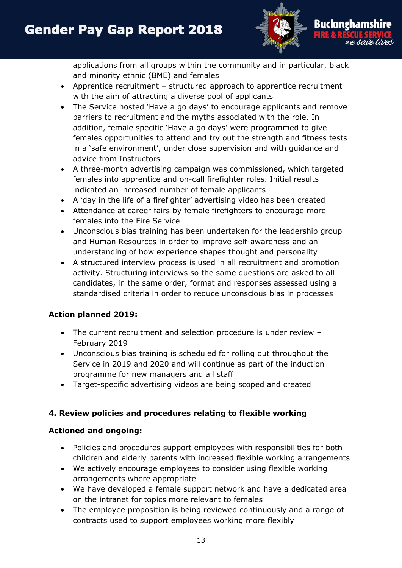

applications from all groups within the community and in particular, black and minority ethnic (BME) and females

- Apprentice recruitment structured approach to apprentice recruitment with the aim of attracting a diverse pool of applicants
- The Service hosted 'Have a go days' to encourage applicants and remove barriers to recruitment and the myths associated with the role. In addition, female specific 'Have a go days' were programmed to give females opportunities to attend and try out the strength and fitness tests in a 'safe environment', under close supervision and with guidance and advice from Instructors
- A three-month advertising campaign was commissioned, which targeted females into apprentice and on-call firefighter roles. Initial results indicated an increased number of female applicants
- A 'day in the life of a firefighter' advertising video has been created
- Attendance at career fairs by female firefighters to encourage more females into the Fire Service
- Unconscious bias training has been undertaken for the leadership group and Human Resources in order to improve self-awareness and an understanding of how experience shapes thought and personality
- A structured interview process is used in all recruitment and promotion activity. Structuring interviews so the same questions are asked to all candidates, in the same order, format and responses assessed using a standardised criteria in order to reduce unconscious bias in processes

#### **Action planned 2019:**

- The current recruitment and selection procedure is under review February 2019
- Unconscious bias training is scheduled for rolling out throughout the Service in 2019 and 2020 and will continue as part of the induction programme for new managers and all staff
- Target-specific advertising videos are being scoped and created

## **4. Review policies and procedures relating to flexible working**

- Policies and procedures support employees with responsibilities for both children and elderly parents with increased flexible working arrangements
- We actively encourage employees to consider using flexible working arrangements where appropriate
- We have developed a female support network and have a dedicated area on the intranet for topics more relevant to females
- The employee proposition is being reviewed continuously and a range of contracts used to support employees working more flexibly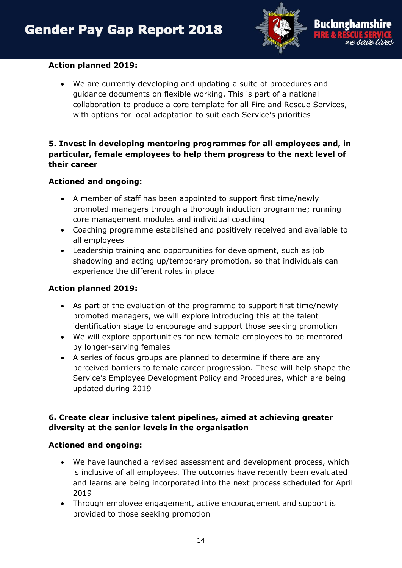

#### **Action planned 2019:**

 We are currently developing and updating a suite of procedures and guidance documents on flexible working. This is part of a national collaboration to produce a core template for all Fire and Rescue Services, with options for local adaptation to suit each Service's priorities

#### **5. Invest in developing mentoring programmes for all employees and, in particular, female employees to help them progress to the next level of their career**

#### **Actioned and ongoing:**

- A member of staff has been appointed to support first time/newly promoted managers through a thorough induction programme; running core management modules and individual coaching
- Coaching programme established and positively received and available to all employees
- Leadership training and opportunities for development, such as job shadowing and acting up/temporary promotion, so that individuals can experience the different roles in place

#### **Action planned 2019:**

- As part of the evaluation of the programme to support first time/newly promoted managers, we will explore introducing this at the talent identification stage to encourage and support those seeking promotion
- We will explore opportunities for new female employees to be mentored by longer-serving females
- A series of focus groups are planned to determine if there are any perceived barriers to female career progression. These will help shape the Service's Employee Development Policy and Procedures, which are being updated during 2019

#### **6. Create clear inclusive talent pipelines, aimed at achieving greater diversity at the senior levels in the organisation**

- We have launched a revised assessment and development process, which is inclusive of all employees. The outcomes have recently been evaluated and learns are being incorporated into the next process scheduled for April 2019
- Through employee engagement, active encouragement and support is provided to those seeking promotion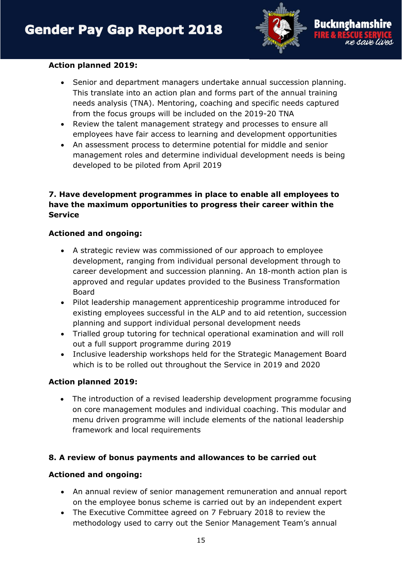

#### **Action planned 2019:**

- Senior and department managers undertake annual succession planning. This translate into an action plan and forms part of the annual training needs analysis (TNA). Mentoring, coaching and specific needs captured from the focus groups will be included on the 2019-20 TNA
- Review the talent management strategy and processes to ensure all employees have fair access to learning and development opportunities
- An assessment process to determine potential for middle and senior management roles and determine individual development needs is being developed to be piloted from April 2019

#### **7. Have development programmes in place to enable all employees to have the maximum opportunities to progress their career within the Service**

#### **Actioned and ongoing:**

- A strategic review was commissioned of our approach to employee development, ranging from individual personal development through to career development and succession planning. An 18-month action plan is approved and regular updates provided to the Business Transformation Board
- Pilot leadership management apprenticeship programme introduced for existing employees successful in the ALP and to aid retention, succession planning and support individual personal development needs
- Trialled group tutoring for technical operational examination and will roll out a full support programme during 2019
- Inclusive leadership workshops held for the Strategic Management Board which is to be rolled out throughout the Service in 2019 and 2020

#### **Action planned 2019:**

 The introduction of a revised leadership development programme focusing on core management modules and individual coaching. This modular and menu driven programme will include elements of the national leadership framework and local requirements

#### **8. A review of bonus payments and allowances to be carried out**

- An annual review of senior management remuneration and annual report on the employee bonus scheme is carried out by an independent expert
- The Executive Committee agreed on 7 February 2018 to review the methodology used to carry out the Senior Management Team's annual